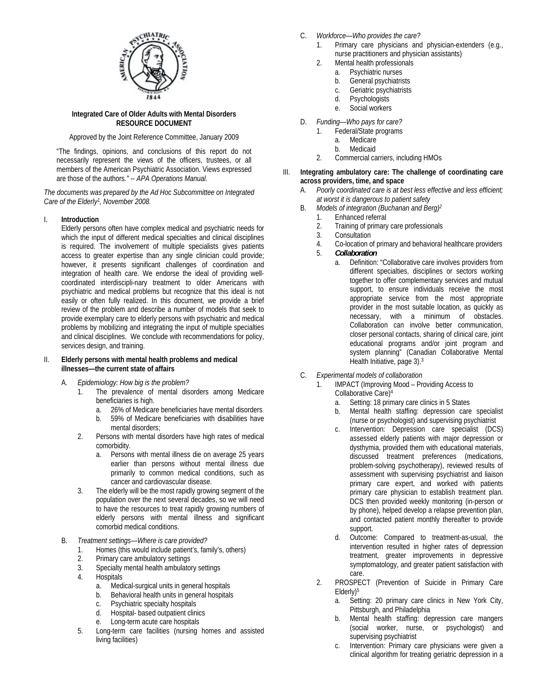

#### **Integrated Care of Older Adults with Mental Disorders RESOURCE DOCUMENT**

Approved by the Joint Reference Committee, January 2009

"The findings, opinions, and conclusions of this report do not necessarily represent the views of the officers, trustees, or all members of the American Psychiatric Association. Views expressed are those of the authors*." -- APA Operations Manual.*

*The documents was prepared by the Ad Hoc Subcommittee on Integrated Care of the Elderly1, November 2008.*

# I. **Introduction**

 Elderly persons often have complex medical and psychiatric needs for which the input of different medical specialties and clinical disciplines is required. The involvement of multiple specialists gives patients access to greater expertise than any single clinician could provide; however, it presents significant challenges of coordination and integration of health care. We endorse the ideal of providing wellcoordinated interdiscipli-nary treatment to older Americans with psychiatric and medical problems but recognize that this ideal is not easily or often fully realized. In this document, we provide a brief review of the problem and describe a number of models that seek to provide exemplary care to elderly persons with psychiatric and medical problems by mobilizing and integrating the input of multiple specialties and clinical disciplines. We conclude with recommendations for policy, services design, and training.

### II. **Elderly persons with mental health problems and medical illnesses—the current state of affairs**

- A. *Epidemiology: How big is the problem?* 
	- 1. The prevalence of mental disorders among Medicare beneficiaries is high.
		- a. 26% of Medicare beneficiaries have mental disorders
		- b. 59% of Medicare beneficiaries with disabilities have mental disorders;
	- 2. Persons with mental disorders have high rates of medical comorbidity.
		- a. Persons with mental illness die on average 25 years earlier than persons without mental illness due primarily to common medical conditions, such as cancer and cardiovascular disease.
	- 3. The elderly will be the most rapidly growing segment of the population over the next several decades, so we will need to have the resources to treat rapidly growing numbers of elderly persons with mental illness and significant comorbid medical conditions.
- B. *Treatment settings—Where is care provided?* 
	- 1. Homes (this would include patient's, family's, others)
	- 2. Primary care ambulatory settings
	- 3. Specialty mental health ambulatory settings
	- 4. Hospitals
		- a. Medical-surgical units in general hospitals
		- b. Behavioral health units in general hospitals
		- c. Psychiatric specialty hospitals
- d. Hospital- based outpatient clinics
- e. Long-term acute care hospitals
	- 5. Long-term care facilities (nursing homes and assisted living facilities)
- C. *Workforce—Who provides the care?* 
	- 1. Primary care physicians and physician-extenders (e.g., nurse practitioners and physician assistants)
	- 2. Mental health professionals
		- a. Psychiatric nurses
		- b. General psychiatrists
		- c. Geriatric psychiatrists
		- d. Psychologists
		- e. Social workers
- D. *Funding—Who pays for care?* 
	- 1. Federal/State programs
		- a. Medicare
		-
	- b. Medicaid<br>2. Commercial ca 2. Commercial carriers, including HMOs
- III. **Integrating ambulatory care: The challenge of coordinating care across providers, time, and space** 
	- A. *Poorly coordinated care is at best less effective and less efficient; at worst it is dangerous to patient safety*
	- B. *Models of integration (Buchanan and Berg)2*
		- 1. Enhanced referral
		- 2. Training of primary care professionals
		- 3. Consultation
		- 4. Co-location of primary and behavioral healthcare providers
		- 5. *Collaboration* 
			- a. Definition: "Collaborative care involves providers from different specialties, disciplines or sectors working together to offer complementary services and mutual support, to ensure individuals receive the most appropriate service from the most appropriate provider in the most suitable location, as quickly as necessary, with a minimum of obstacles. Collaboration can involve better communication, closer personal contacts, sharing of clinical care, joint educational programs and/or joint program and system planning" (Canadian Collaborative Mental Health Initiative, page 3).3
	- C. *Experimental models of collaboration* 
		- 1. **IMPACT (Improving Mood Providing Access to** Collaborative Care)4
			- a. Setting: 18 primary care clinics in 5 States
			- b. Mental health staffing: depression care specialist (nurse or psychologist) and supervising psychiatrist
			- c. Intervention: Depression care specialist (DCS) assessed elderly patients with major depression or dysthymia, provided them with educational materials, discussed treatment preferences (medications, problem-solving psychotherapy), reviewed results of assessment with supervising psychiatrist and liaison primary care expert, and worked with patients primary care physician to establish treatment plan. DCS then provided weekly monitoring (in-person or by phone), helped develop a relapse prevention plan, and contacted patient monthly thereafter to provide support.
			- d. Outcome: Compared to treatment-as-usual, the intervention resulted in higher rates of depression treatment, greater improvements in depressive symptomatology, and greater patient satisfaction with care.
		- 2. PROSPECT (Prevention of Suicide in Primary Care Elderly)5
			- a. Setting: 20 primary care clinics in New York City, Pittsburgh, and Philadelphia
			- b. Mental health staffing: depression care mangers (social worker, nurse, or psychologist) and supervising psychiatrist
			- c. Intervention: Primary care physicians were given a clinical algorithm for treating geriatric depression in a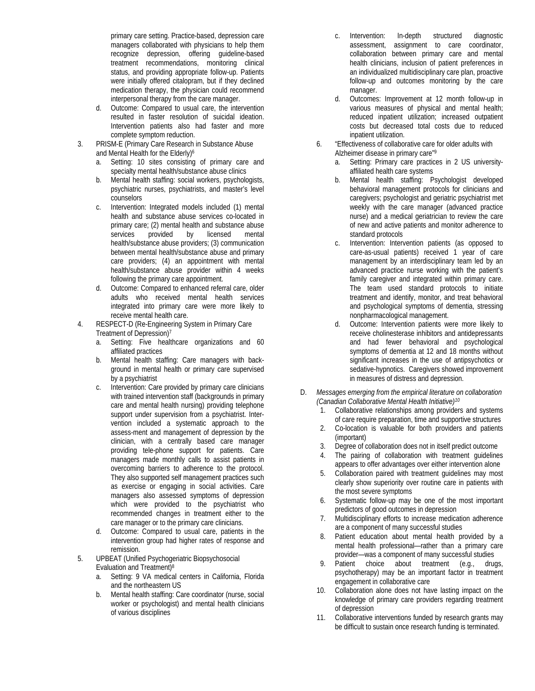primary care setting. Practice-based, depression care managers collaborated with physicians to help them recognize depression, offering guideline-based treatment recommendations, monitoring clinical status, and providing appropriate follow-up. Patients were initially offered citalopram, but if they declined medication therapy, the physician could recommend interpersonal therapy from the care manager.

- d. Outcome: Compared to usual care, the intervention resulted in faster resolution of suicidal ideation. Intervention patients also had faster and more complete symptom reduction.
- 3. PRISM-E (Primary Care Research in Substance Abuse and Mental Health for the Elderly)<sup>6</sup>
	- a. Setting: 10 sites consisting of primary care and specialty mental health/substance abuse clinics
	- b. Mental health staffing: social workers, psychologists, psychiatric nurses, psychiatrists, and master's level counselors
	- c. Intervention: Integrated models included (1) mental health and substance abuse services co-located in primary care; (2) mental health and substance abuse services provided by licensed mental health/substance abuse providers; (3) communication between mental health/substance abuse and primary care providers; (4) an appointment with mental health/substance abuse provider within 4 weeks following the primary care appointment.
	- d. Outcome: Compared to enhanced referral care, older adults who received mental health services integrated into primary care were more likely to receive mental health care.
- 4. RESPECT-D (Re-Engineering System in Primary Care Treatment of Depression)7
	- a. Setting: Five healthcare organizations and 60 affiliated practices
	- b. Mental health staffing: Care managers with background in mental health or primary care supervised by a psychiatrist
	- c. Intervention: Care provided by primary care clinicians with trained intervention staff (backgrounds in primary care and mental health nursing) providing telephone support under supervision from a psychiatrist. Intervention included a systematic approach to the assess-ment and management of depression by the clinician, with a centrally based care manager providing tele-phone support for patients. Care managers made monthly calls to assist patients in overcoming barriers to adherence to the protocol. They also supported self management practices such as exercise or engaging in social activities. Care managers also assessed symptoms of depression which were provided to the psychiatrist who recommended changes in treatment either to the care manager or to the primary care clinicians.
	- d. Outcome: Compared to usual care, patients in the intervention group had higher rates of response and remission.
- 5. UPBEAT (Unified Psychogeriatric Biopsychosocial Evaluation and Treatment)8
	- a. Setting: 9 VA medical centers in California, Florida and the northeastern US
	- b. Mental health staffing: Care coordinator (nurse, social worker or psychologist) and mental health clinicians of various disciplines
- c. Intervention: In-depth structured diagnostic assessment, assignment to care coordinator, collaboration between primary care and mental health clinicians, inclusion of patient preferences in an individualized multidisciplinary care plan, proactive follow-up and outcomes monitoring by the care manager.
- d. Outcomes: Improvement at 12 month follow-up in various measures of physical and mental health; reduced inpatient utilization; increased outpatient costs but decreased total costs due to reduced inpatient utilization.
- 6. "Effectiveness of collaborative care for older adults with Alzheimer disease in primary care"9
	- a. Setting: Primary care practices in 2 US universityaffiliated health care systems
	- b. Mental health staffing: Psychologist developed behavioral management protocols for clinicians and caregivers; psychologist and geriatric psychiatrist met weekly with the care manager (advanced practice nurse) and a medical geriatrician to review the care of new and active patients and monitor adherence to standard protocols
	- c. Intervention: Intervention patients (as opposed to care-as-usual patients) received 1 year of care management by an interdisciplinary team led by an advanced practice nurse working with the patient's family caregiver and integrated within primary care. The team used standard protocols to initiate treatment and identify, monitor, and treat behavioral and psychological symptoms of dementia, stressing nonpharmacological management.
	- d. Outcome: Intervention patients were more likely to receive cholinesterase inhibitors and antidepressants and had fewer behavioral and psychological symptoms of dementia at 12 and 18 months without significant increases in the use of antipsychotics or sedative-hypnotics. Caregivers showed improvement in measures of distress and depression.
- D. *Messages emerging from the empirical literature on collaboration (Canadian Collaborative Mental Health Initiative)10*
	- 1. Collaborative relationships among providers and systems of care require preparation, time and supportive structures
	- 2. Co-location is valuable for both providers and patients (important)
	- 3. Degree of collaboration does not in itself predict outcome
	- 4. The pairing of collaboration with treatment guidelines appears to offer advantages over either intervention alone
	- 5. Collaboration paired with treatment guidelines may most clearly show superiority over routine care in patients with the most severe symptoms
	- 6. Systematic follow-up may be one of the most important predictors of good outcomes in depression
	- 7. Multidisciplinary efforts to increase medication adherence are a component of many successful studies
	- 8. Patient education about mental health provided by a mental health professional—rather than a primary care provider—was a component of many successful studies
	- 9. Patient choice about treatment (e.g., drugs, psychotherapy) may be an important factor in treatment engagement in collaborative care
	- 10. Collaboration alone does not have lasting impact on the knowledge of primary care providers regarding treatment of depression
	- 11. Collaborative interventions funded by research grants may be difficult to sustain once research funding is terminated.